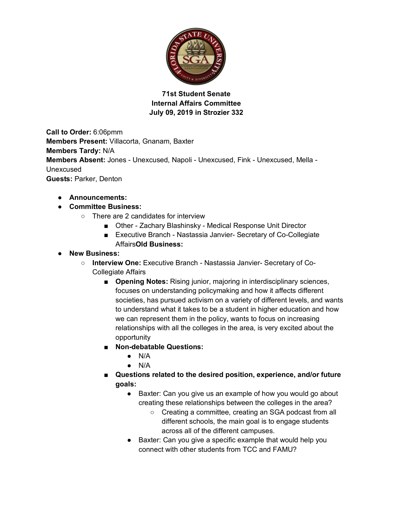

**71st Student Senate Internal Affairs Committee July 09, 2019 in Strozier 332** 

**Call to Order:** 6:06pmm **Members Present:** Villacorta, Gnanam, Baxter **Members Tardy:** N/A **Members Absent:** Jones - Unexcused, Napoli - Unexcused, Fink - Unexcused, Mella - Unexcused **Guests:** Parker, Denton

● **Announcements:**

## ● **Committee Business:**

- There are 2 candidates for interview
	- Other Zachary Blashinsky Medical Response Unit Director
	- Executive Branch Nastassia Janvier- Secretary of Co-Collegiate Affairs**Old Business:**
- **New Business:**
	- **Interview One:** Executive Branch Nastassia Janvier- Secretary of Co-Collegiate Affairs
		- **Opening Notes:** Rising junior, majoring in interdisciplinary sciences, focuses on understanding policymaking and how it affects different societies, has pursued activism on a variety of different levels, and wants to understand what it takes to be a student in higher education and how we can represent them in the policy, wants to focus on increasing relationships with all the colleges in the area, is very excited about the opportunity
		- **Non-debatable Questions:**
			- $\bullet$  N/A
			- $\bullet$  N/A
		- **Questions related to the desired position, experience, and/or future goals:**
			- Baxter: Can you give us an example of how you would go about creating these relationships between the colleges in the area?
				- Creating a committee, creating an SGA podcast from all different schools, the main goal is to engage students across all of the different campuses.
			- Baxter: Can you give a specific example that would help you connect with other students from TCC and FAMU?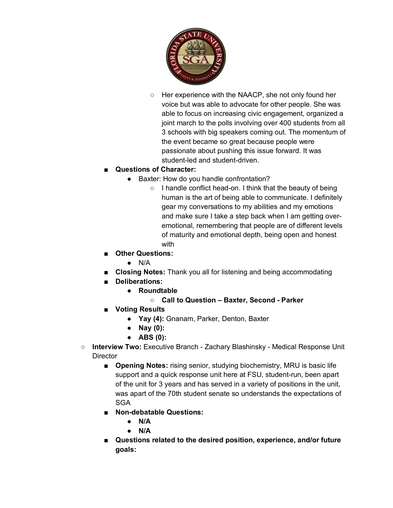

○ Her experience with the NAACP, she not only found her voice but was able to advocate for other people. She was able to focus on increasing civic engagement, organized a joint march to the polls involving over 400 students from all 3 schools with big speakers coming out. The momentum of the event became so great because people were passionate about pushing this issue forward. It was student-led and student-driven.

## ■ **Questions of Character:**

- Baxter: How do you handle confrontation?
	- I handle conflict head-on. I think that the beauty of being human is the art of being able to communicate. I definitely gear my conversations to my abilities and my emotions and make sure I take a step back when I am getting overemotional, remembering that people are of different levels of maturity and emotional depth, being open and honest with
- **Other Questions:**
	- $\bullet$  N/A
- **Closing Notes:** Thank you all for listening and being accommodating
- **Deliberations:** 
	- **Roundtable** 
		- **Call to Question – Baxter, Second - Parker**
- **Voting Results** 
	- **Yay (4):** Gnanam, Parker, Denton, Baxter
	- **Nay (0):**
	- **ABS (0):**
- **Interview Two:** Executive Branch Zachary Blashinsky Medical Response Unit **Director** 
	- **Opening Notes:** rising senior, studying biochemistry, MRU is basic life support and a quick response unit here at FSU, student-run, been apart of the unit for 3 years and has served in a variety of positions in the unit, was apart of the 70th student senate so understands the expectations of **SGA**
	- **Non-debatable Questions:**
		- **N/A**
		- **N/A**
	- **Questions related to the desired position, experience, and/or future goals:**